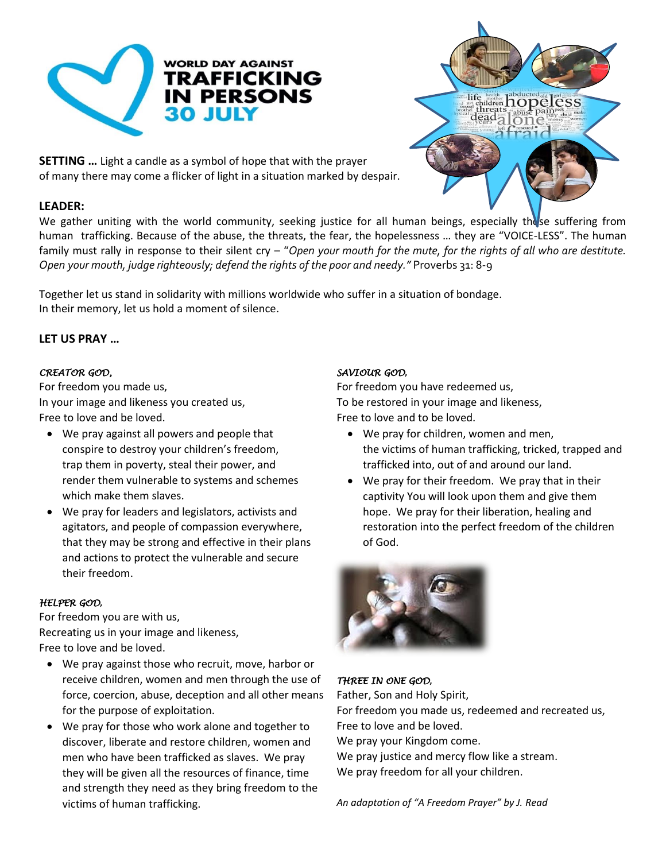



**SETTING …** Light a candle as a symbol of hope that with the prayer of many there may come a flicker of light in a situation marked by despair.

## **LEADER:**

We gather uniting with the world community, seeking justice for all human beings, especially these suffering from human trafficking. Because of the abuse, the threats, the fear, the hopelessness … they are "VOICE-LESS". The human family must rally in response to their silent cry – "*Open your mouth for the mute, for the rights of all who are destitute. Open your mouth, judge righteously; defend the rights of the poor and needy."* Proverbs 31: 8-9

Together let us stand in solidarity with millions worldwide who suffer in a situation of bondage. In their memory, let us hold a moment of silence.

### **LET US PRAY …**

### *CREATOR GOD,*

For freedom you made us, In your image and likeness you created us, Free to love and be loved.

- We pray against all powers and people that conspire to destroy your children's freedom, trap them in poverty, steal their power, and render them vulnerable to systems and schemes which make them slaves.
- We pray for leaders and legislators, activists and agitators, and people of compassion everywhere, that they may be strong and effective in their plans and actions to protect the vulnerable and secure their freedom.

### *HELPER GOD***,**

For freedom you are with us, Recreating us in your image and likeness, Free to love and be loved.

- We pray against those who recruit, move, harbor or receive children, women and men through the use of force, coercion, abuse, deception and all other means for the purpose of exploitation.
- We pray for those who work alone and together to discover, liberate and restore children, women and men who have been trafficked as slaves. We pray they will be given all the resources of finance, time and strength they need as they bring freedom to the victims of human trafficking.

### *SAVIOUR GOD***,**

For freedom you have redeemed us, To be restored in your image and likeness, Free to love and to be loved.

- We pray for children, women and men, the victims of human trafficking, tricked, trapped and trafficked into, out of and around our land.
- We pray for their freedom. We pray that in their captivity You will look upon them and give them hope. We pray for their liberation, healing and restoration into the perfect freedom of the children of God.



## *THREE IN ONE GOD***,**

Father, Son and Holy Spirit, For freedom you made us, redeemed and recreated us, Free to love and be loved. We pray your Kingdom come. We pray justice and mercy flow like a stream.

We pray freedom for all your children.

*An adaptation of "A Freedom Prayer" by J. Read*